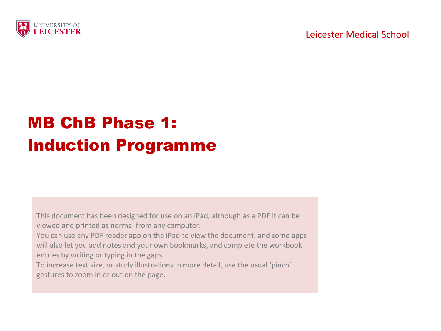

# MB ChB Phase 1: Induction Programme

This document has been designed for use on an iPad, although as a PDF it can be viewed and printed as normal from any computer.

You can use any PDF reader app on the iPad to view the document: and some apps will also let you add notes and your own bookmarks, and complete the workbook entries by writing or typing in the gaps.

To increase text size, or study illustrations in more detail, use the usual 'pinch' gestures to zoom in or out on the page.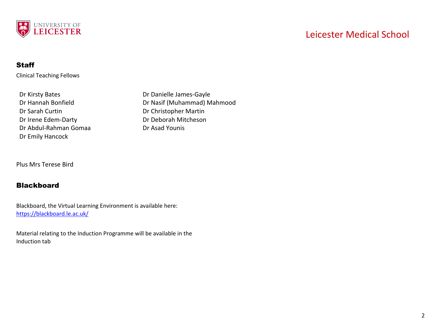

## Leicester Medical School

#### **Staff**

Clinical Teaching Fellows

Dr Sarah Curtin Dr Christopher Martin Dr Irene Edem-Darty Dr Deborah Mitcheson Dr Abdul-Rahman Gomaa Dr Asad Younis Dr Emily Hancock

Dr Kirsty Bates **Dr Danielle James-Gayle** Dr Hannah Bonfield Dr Nasif (Muhammad) Mahmood

Plus Mrs Terese Bird

#### Blackboard

Blackboard, the Virtual Learning Environment is available here: <https://blackboard.le.ac.uk/>

Material relating to the Induction Programme will be available in the Induction tab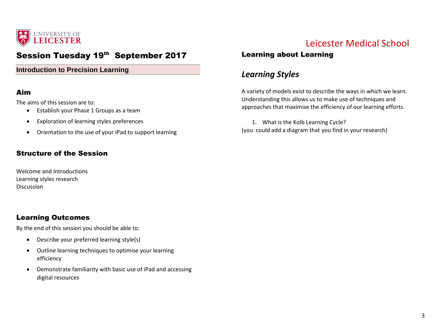

## Session Tuesday 19th September 2017

#### **Introduction to Precision Learning**

#### Aim

The aims of this session are to:

- Establish your Phase 1 Groups as a team
- Exploration of learning styles preferences
- Orientation to the use of your iPad to support learning

#### Structure of the Session

Welcome and Introductions Learning styles research Discussion

#### Learning Outcomes

By the end of this session you should be able to:

- Describe your preferred learning style(s)
- Outline learning techniques to optimise your learning efficiency
- Demonstrate familiarity with basic use of iPad and accessing digital resources

## Leicester Medical School

### Learning about Learning

## *Learning Styles*

A variety of models exist to describe the ways in which we learn. Understanding this allows us to make use of techniques and approaches that maximise the efficiency of our learning efforts.

1. What is the Kolb Learning Cycle? (you could add a diagram that you find in your research)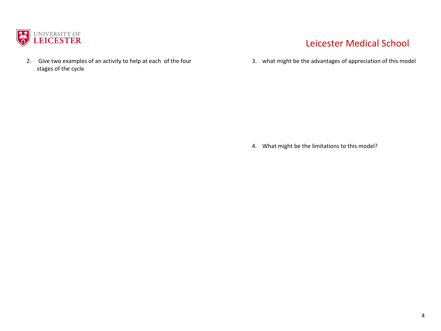

2. Give two examples of an activity to help at each of the four stages of the cycle

## Leicester Medical School

3. what might be the advantages of appreciation of this model

4. What might be the limitations to this model?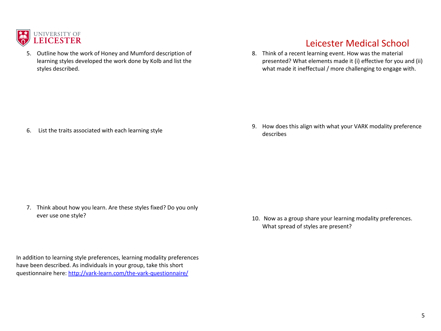

5. Outline how the work of Honey and Mumford description of learning styles developed the work done by Kolb and list the styles described.

## Leicester Medical School

8. Think of a recent learning event. How was the material presented? What elements made it (i) effective for you and (ii) what made it ineffectual / more challenging to engage with.

6. List the traits associated with each learning style

7. Think about how you learn. Are these styles fixed? Do you only ever use one style?

In addition to learning style preferences, learning modality preferences have been described. As individuals in your group, take this short questionnaire here:<http://vark-learn.com/the-vark-questionnaire/>

9. How does this align with what your VARK modality preference describes

10. Now as a group share your learning modality preferences. What spread of styles are present?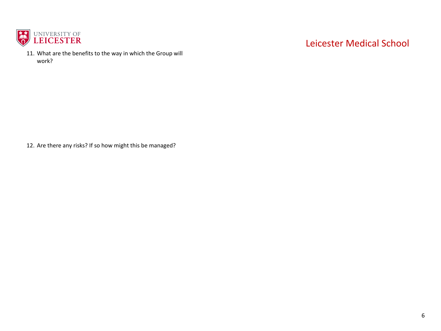

11. What are the benefits to the way in which the Group will work?

## Leicester Medical School

12. Are there any risks? If so how might this be managed?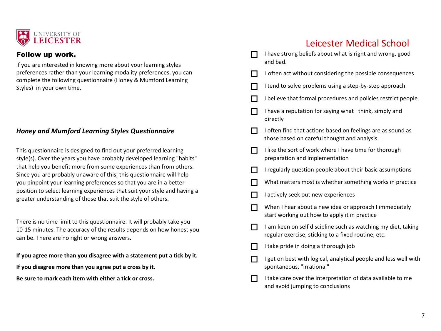

#### Follow up work.

If you are interested in knowing more about your learning styles preferences rather than your learning modality preferences, you can complete the following questionnaire (Honey & Mumford Learning Styles) in your own time.

#### *Honey and Mumford Learning Styles Questionnaire*

This questionnaire is designed to find out your preferred learning style(s). Over the years you have probably developed learning "habits" that help you benefit more from some experiences than from others. Since you are probably unaware of this, this questionnaire will help you pinpoint your learning preferences so that you are in a better position to select learning experiences that suit your style and having a greater understanding of those that suit the style of others.

There is no time limit to this questionnaire. It will probably take you 10-15 minutes. The accuracy of the results depends on how honest you can be. There are no right or wrong answers.

**If you agree more than you disagree with a statement put a tick by it.**

**If you disagree more than you agree put a cross by it.**

**Be sure to mark each item with either a tick or cross.**

|     | I have strong beliefs about what is right and wrong, good<br>and bad.                                                |
|-----|----------------------------------------------------------------------------------------------------------------------|
|     | I often act without considering the possible consequences                                                            |
|     | I tend to solve problems using a step-by-step approach                                                               |
| ┓   | I believe that formal procedures and policies restrict people                                                        |
|     | I have a reputation for saying what I think, simply and<br>directly                                                  |
|     | I often find that actions based on feelings are as sound as<br>those based on careful thought and analysis           |
|     | I like the sort of work where I have time for thorough<br>preparation and implementation                             |
|     | I regularly question people about their basic assumptions                                                            |
| П   | What matters most is whether something works in practice                                                             |
| ┐   | I actively seek out new experiences                                                                                  |
| ┓   | When I hear about a new idea or approach I immediately<br>start working out how to apply it in practice              |
| - 1 | I am keen on self discipline such as watching my diet, taking<br>regular exercise, sticking to a fixed routine, etc. |
|     | I take pride in doing a thorough job                                                                                 |
|     | I get on best with logical, analytical people and less well with<br>spontaneous, "irrational"                        |
|     | I take care over the interpretation of data available to me<br>and avoid jumping to conclusions                      |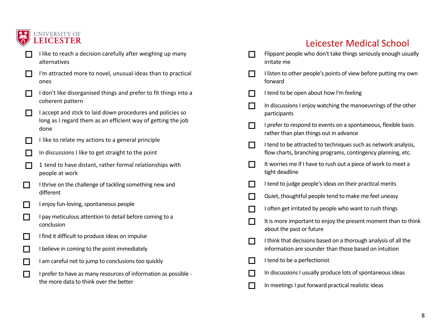

## I like to reach a decision carefully after weighing up many alternatives

- $\Box$  I'm attracted more to novel, unusual ideas than to practical ones
- $\Box$  I don't like disorganised things and prefer to fit things into a coherent pattern
- $\Box$  I accept and stick to laid down procedures and policies so long as I regard them as an efficient way of getting the job done
- I like to relate my actions to a general principle
- In discussions I like to get straight to the point
- $\Box$  1 tend to have distant, rather formal relationships with people at work
- $\Box$  I thrive on the challenge of tackling something new and different
- $\Box$  I enjoy fun-loving, spontaneous people
- $\Box$  I pay meticulous attention to detail before coming to a conclusion
- $\Box$  I find it difficult to produce ideas on impulse
- $\Box$  I believe in coming to the point immediately
- $\Box$  I am careful not to jump to conclusions too quickly
- $\Box$  I prefer to have as many resources of information as possible the more data to think over the better

|                             | Flippant people who don't take things seriously enough usually<br>irritate me                                                 |
|-----------------------------|-------------------------------------------------------------------------------------------------------------------------------|
| $\mathcal{L}_{\mathcal{A}}$ | I listen to other people's points of view before putting my own<br>forward                                                    |
|                             | I tend to be open about how I'm feeling                                                                                       |
|                             | In discussions I enjoy watching the manoeuvrings of the other<br>participants                                                 |
|                             | I prefer to respond to events on a spontaneous, flexible basis<br>rather than plan things out in advance                      |
| $\mathcal{L}$               | I tend to be attracted to techniques such as network analysis,<br>flow charts, branching programs, contingency planning, etc. |
|                             | It worries me if I have to rush out a piece of work to meet a<br>tight deadline                                               |
|                             | I tend to judge people's ideas on their practical merits                                                                      |
|                             | Quiet, thoughtful people tend to make me feel uneasy                                                                          |
|                             | I often get irritated by people who want to rush things                                                                       |
| $\mathcal{L}_{\mathcal{A}}$ | It is more important to enjoy the present moment than to think<br>about the past or future                                    |
| $\mathcal{L}$               | I think that decisions based on a thorough analysis of all the<br>information are sounder than those based on intuition       |
|                             | I tend to be a perfectionist                                                                                                  |
|                             | In discussions I usually produce lots of spontaneous ideas                                                                    |
|                             | In meetings I put forward practical realistic ideas                                                                           |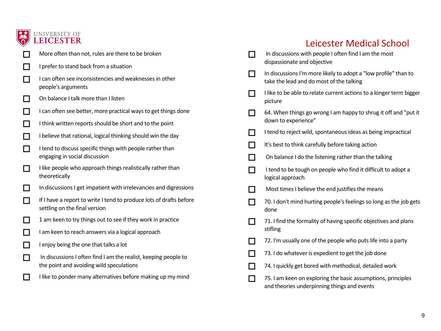

# UNIVERSITY OF LEICESTER

- More often than not, rules are there to be broken
- $\Box$  I prefer to stand back from a situation
- $\Box$  I can often see inconsistencies and weaknesses in other people's arguments
- $\Box$  On balance I talk more than I listen
- $\Box$  I can often see better, more practical ways to get things done
- I think written reports should be short and to the point
- $\Box$  I believe that rational, logical thinking should win the day
- $\Box$  I tend to discuss specific things with people rather than engaging in social discussion
- $\Box$  I like people who approach things realistically rather than theoretically
- $\Box$  In discussions I get impatient with irrelevancies and digressions
- If I have a report to write I tend to produce lots of drafts before settling on the final version
- $\Box$  1 am keen to try things out to see if they work in practice
- $\Box$  I am keen to reach answers via a logical approach
- $\Box$  I enjoy being the one that talks a lot
- In discussions I often find I am the realist, keeping people to the point and avoiding wild speculations
- $\Box$  I like to ponder many alternatives before making up my mind

| $\Box$ | In discussions with people I often find I am the most<br>dispassionate and objective                        |
|--------|-------------------------------------------------------------------------------------------------------------|
|        | In discussions I'm more likely to adopt a "low profile" than to<br>take the lead and do most of the talking |
|        | I like to be able to relate current actions to a longer term bigger<br>picture                              |
|        | 64. When things go wrong I am happy to shrug it off and "put it<br>down to experience"                      |
|        | I tend to reject wild, spontaneous ideas as being impractical                                               |
|        | It's best to think carefully before taking action                                                           |
|        | On balance I do the listening rather than the talking                                                       |
| $\Box$ | I tend to be tough on people who find it difficult to adopt a<br>logical approach                           |
| $\Box$ | Most times I believe the end justifies the means                                                            |
| $\Box$ | 70. I don't mind hurting people's feelings so long as the job gets<br>done                                  |
| П      | 71. I find the formality of having specific objectives and plans<br>stifling                                |
| $\Box$ | 72. I'm usually one of the people who puts life into a party                                                |
| $\Box$ | 73. I do whatever is expedient to get the job done                                                          |
|        | 74. I quickly get bored with methodical, detailed work                                                      |
| $\Box$ | 75. I am keen on exploring the basic assumptions, principles<br>and theories underpinning things and events |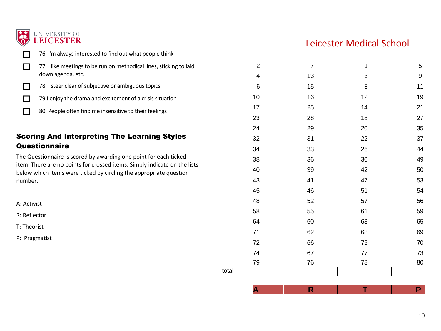

76. I'm always interested to find out what people think

|                                                                                                                                                                                                                                                                                                                                                                        | 77. I like meetings to be run on methodical lines, sticking to laid | $\overline{2}$ | $\overline{7}$ |          | 5        |
|------------------------------------------------------------------------------------------------------------------------------------------------------------------------------------------------------------------------------------------------------------------------------------------------------------------------------------------------------------------------|---------------------------------------------------------------------|----------------|----------------|----------|----------|
|                                                                                                                                                                                                                                                                                                                                                                        | down agenda, etc.                                                   | 4              | 13             | 3        | 9        |
|                                                                                                                                                                                                                                                                                                                                                                        | 78. I steer clear of subjective or ambiguous topics                 | 6              | 15             | 8        | 11       |
|                                                                                                                                                                                                                                                                                                                                                                        | 79.I enjoy the drama and excitement of a crisis situation           | 10             | 16             | 12       | 19       |
|                                                                                                                                                                                                                                                                                                                                                                        | 80. People often find me insensitive to their feelings              | 17             | 25             | 14       | 21       |
|                                                                                                                                                                                                                                                                                                                                                                        |                                                                     | 23             | 28             | 18       | 27       |
|                                                                                                                                                                                                                                                                                                                                                                        |                                                                     | 24             | 29             | 20       | 35       |
| <b>Scoring And Interpreting The Learning Styles</b><br>Questionnaire<br>The Questionnaire is scored by awarding one point for each ticked<br>item. There are no points for crossed items. Simply indicate on the lists<br>below which items were ticked by circling the appropriate question<br>number.<br>A: Activist<br>R: Reflector<br>T: Theorist<br>P: Pragmatist |                                                                     | 32             | 31             | 22       | 37       |
|                                                                                                                                                                                                                                                                                                                                                                        |                                                                     | 34             | 33             | 26       | 44       |
|                                                                                                                                                                                                                                                                                                                                                                        |                                                                     | 38             | 36             | 30       | 49       |
|                                                                                                                                                                                                                                                                                                                                                                        |                                                                     | 40             | 39             | 42       | 50       |
|                                                                                                                                                                                                                                                                                                                                                                        |                                                                     | 43             | 41             | 47       | 53       |
|                                                                                                                                                                                                                                                                                                                                                                        |                                                                     | 45             | 46             | 51       | 54       |
|                                                                                                                                                                                                                                                                                                                                                                        |                                                                     | 48             | 52             | 57       | 56       |
|                                                                                                                                                                                                                                                                                                                                                                        |                                                                     | 58<br>64       | 55<br>60       | 61<br>63 | 59<br>65 |
|                                                                                                                                                                                                                                                                                                                                                                        |                                                                     |                |                |          |          |
|                                                                                                                                                                                                                                                                                                                                                                        |                                                                     | 72             | 66             | 75       | 70       |
|                                                                                                                                                                                                                                                                                                                                                                        |                                                                     |                |                | 74       | 67       |
|                                                                                                                                                                                                                                                                                                                                                                        |                                                                     | 79             | 76             | 78       | 80       |